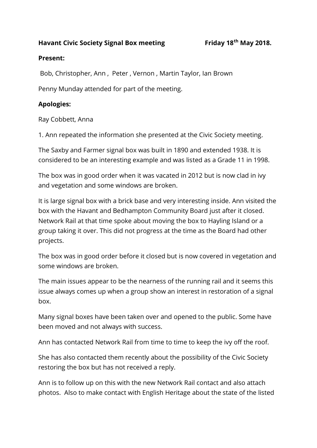#### **Havant Civic Society Signal Box meeting Friday 18th May 2018.**

#### **Present:**

Bob, Christopher, Ann , Peter , Vernon , Martin Taylor, Ian Brown

Penny Munday attended for part of the meeting.

### **Apologies:**

Ray Cobbett, Anna

1. Ann repeated the information she presented at the Civic Society meeting.

The Saxby and Farmer signal box was built in 1890 and extended 1938. It is considered to be an interesting example and was listed as a Grade 11 in 1998.

The box was in good order when it was vacated in 2012 but is now clad in ivy and vegetation and some windows are broken.

It is large signal box with a brick base and very interesting inside. Ann visited the box with the Havant and Bedhampton Community Board just after it closed. Network Rail at that time spoke about moving the box to Hayling Island or a group taking it over. This did not progress at the time as the Board had other projects.

The box was in good order before it closed but is now covered in vegetation and some windows are broken.

The main issues appear to be the nearness of the running rail and it seems this issue always comes up when a group show an interest in restoration of a signal box.

Many signal boxes have been taken over and opened to the public. Some have been moved and not always with success.

Ann has contacted Network Rail from time to time to keep the ivy off the roof.

She has also contacted them recently about the possibility of the Civic Society restoring the box but has not received a reply.

Ann is to follow up on this with the new Network Rail contact and also attach photos. Also to make contact with English Heritage about the state of the listed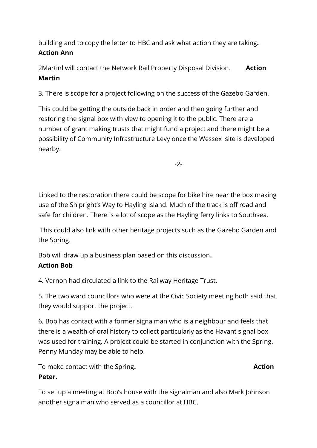building and to copy the letter to HBC and ask what action they are taking**. Action Ann**

2Martinl will contact the Network Rail Property Disposal Division. **Action Martin**

3. There is scope for a project following on the success of the Gazebo Garden.

This could be getting the outside back in order and then going further and restoring the signal box with view to opening it to the public. There are a number of grant making trusts that might fund a project and there might be a possibility of Community Infrastructure Levy once the Wessex site is developed nearby.

-2-

Linked to the restoration there could be scope for bike hire near the box making use of the Shipright's Way to Hayling Island. Much of the track is off road and safe for children. There is a lot of scope as the Hayling ferry links to Southsea.

This could also link with other heritage projects such as the Gazebo Garden and the Spring.

Bob will draw up a business plan based on this discussion**.** 

# **Action Bob**

4. Vernon had circulated a link to the Railway Heritage Trust.

5. The two ward councillors who were at the Civic Society meeting both said that they would support the project.

6. Bob has contact with a former signalman who is a neighbour and feels that there is a wealth of oral history to collect particularly as the Havant signal box was used for training. A project could be started in conjunction with the Spring. Penny Munday may be able to help.

To make contact with the Spring. **Action Action Action** 

# **Peter.**

To set up a meeting at Bob's house with the signalman and also Mark Johnson another signalman who served as a councillor at HBC.